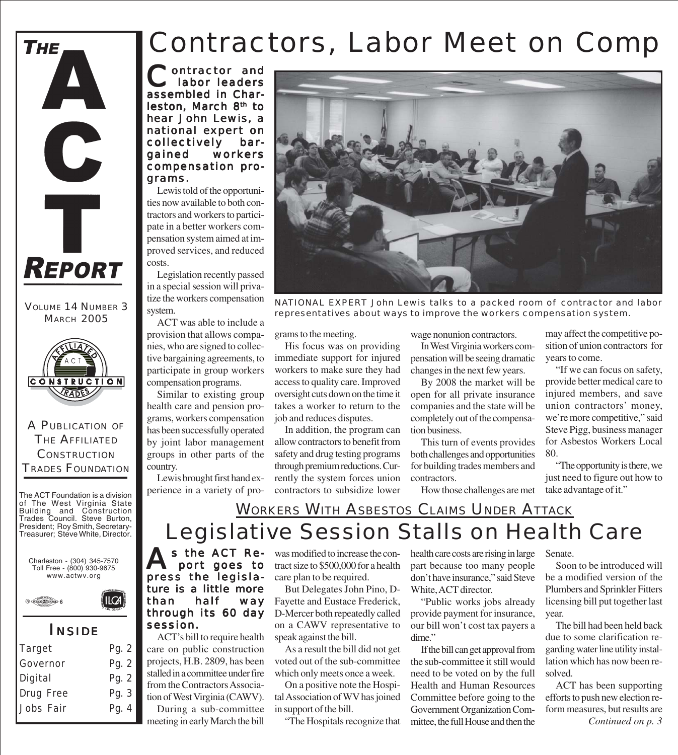

VOLUME 14 NUMBER 3 **MARCH 2005** 



A PUBLICATION OF THE AFFILIATED **CONSTRUCTION** TRADES FOUNDATION

The ACT Foundation is a division of The West Virginia State Building and Construction Trades Council. Steve Burton, President; Roy Smith, Secretary-Treasurer; Steve White, Director.

Charleston - (304) 345-7570 Toll Free - (800) 930-9675 www.actwv.org

ILCA



*I NSIDE*

| Target    | Pg. 2 |
|-----------|-------|
| Governor  | Pg. 2 |
| Digital   | Pg. 2 |
| Drug Free | Pg. 3 |
| Jobs Fair | Pg. 4 |
|           |       |

## Contractors, Labor Meet on Comp

Contractor and<br>
labor leaders assembled in Charleston, March 8<sup>th</sup> to hear John Lewis, a national expert on collectively bargained workers compensation programs.

Lewis told of the opportunities now available to both contractors and workers to participate in a better workers compensation system aimed at improved services, and reduced costs.

Legislation recently passed in a special session will privatize the workers compensation system.

ACT was able to include a provision that allows companies, who are signed to collective bargaining agreements, to participate in group workers compensation programs.

Similar to existing group health care and pension programs, workers compensation has been successfully operated by joint labor management groups in other parts of the country.

Lewis brought first hand experience in a variety of pro-



*NATIONAL EXPERT John Lewis talks to a packed room of contractor and labor representatives about ways to improve the workers compensation system.*

grams to the meeting.

His focus was on providing immediate support for injured workers to make sure they had access to quality care. Improved oversight cuts down on the time it takes a worker to return to the job and reduces disputes.

In addition, the program can allow contractors to benefit from safety and drug testing programs through premium reductions. Currently the system forces union contractors to subsidize lower

wage nonunion contractors.

In West Virginia workers compensation will be seeing dramatic changes in the next few years.

By 2008 the market will be open for all private insurance companies and the state will be completely out of the compensation business.

This turn of events provides both challenges and opportunities for building trades members and contractors.

How those challenges are met

may affect the competitive position of union contractors for years to come.

"If we can focus on safety, provide better medical care to injured members, and save union contractors' money, we're more competitive," said Steve Pigg, business manager for Asbestos Workers Local 80.

"The opportunity is there, we just need to figure out how to take advantage of it."

### Legislative Session Stalls on Health Care **WORKERS WITH ASBESTOS CLAIMS UNDER ATTACK**

s the ACT Report goes to press the legislature is a little more than half way through its 60 day session.

ACT's bill to require health care on public construction projects, H.B. 2809, has been stalled in a committee under fire from the Contractors Association of West Virginia (CAWV). During a sub-committee

meeting in early March the bill

was modified to increase the contract size to \$500,000 for a health care plan to be required.

But Delegates John Pino, D-Fayette and Eustace Frederick, D-Mercer both repeatedly called on a CAWV representative to speak against the bill.

As a result the bill did not get voted out of the sub-committee which only meets once a week.

On a positive note the Hospital Association of WV has joined in support of the bill.

"The Hospitals recognize that

health care costs are rising in large part because too many people don't have insurance," said Steve White, ACT director.

"Public works jobs already provide payment for insurance, our bill won't cost tax payers a dime."

If the bill can get approval from the sub-committee it still would need to be voted on by the full Health and Human Resources Committee before going to the Government Organization Committee, the full House and then the

Senate.

Soon to be introduced will be a modified version of the Plumbers and Sprinkler Fitters licensing bill put together last year.

The bill had been held back due to some clarification regarding water line utility installation which has now been resolved.

ACT has been supporting efforts to push new election reform measures, but results are

*Continued on p. 3*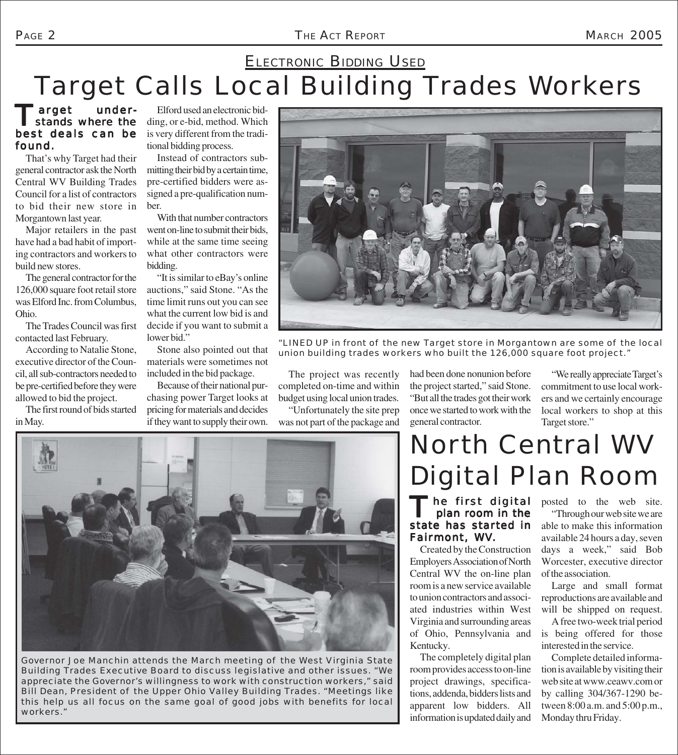### PAGE 2 *THE ACT REPORT* MARCH 2005

## Target Calls Local Building Trades Workers **ELECTRONIC BIDDING USED**

### Target under-<br>
stands where the best deals can be found.

That's why Target had their general contractor ask the North Central WV Building Trades Council for a list of contractors to bid their new store in Morgantown last year.

Major retailers in the past have had a bad habit of importing contractors and workers to build new stores.

The general contractor for the 126,000 square foot retail store was Elford Inc. from Columbus, Ohio.

The Trades Council was first contacted last February.

According to Natalie Stone, executive director of the Council, all sub-contractors needed to be pre-certified before they were allowed to bid the project.

The first round of bids started in May.

Elford used an electronic bidding, or e-bid, method. Which is very different from the traditional bidding process.

Instead of contractors submitting their bid by a certain time, pre-certified bidders were assigned a pre-qualification number.

With that number contractors went on-line to submit their bids, while at the same time seeing what other contractors were bidding.

"It is similar to eBay's online auctions," said Stone. "As the time limit runs out you can see what the current low bid is and decide if you want to submit a lower bid."

Stone also pointed out that materials were sometimes not included in the bid package.

Because of their national purchasing power Target looks at pricing for materials and decides if they want to supply their own.



*"LINED UP in front of the new Target store in Morgantown are some of the local union building trades workers who built the 126,000 square foot project."*

The project was recently completed on-time and within budget using local union trades.

"Unfortunately the site prep was not part of the package and had been done nonunion before the project started," said Stone. "But all the trades got their work once we started to work with the general contractor.

"We really appreciate Target's commitment to use local workers and we certainly encourage local workers to shop at this Target store."



*Governor Joe Manchin attends the March meeting of the West Virginia State Building Trades Executive Board to discuss legislative and other issues. "We appreciate the Governor's willingness to work with construction workers," said Bill Dean, President of the Upper Ohio Valley Building Trades. "Meetings like this help us all focus on the same goal of good jobs with benefits for local workers."*

# North Central WV Digital Plan Room

### The first digital plan room in the state has started in Fairmont, WV.

Created by the Construction Employers Association of North Central WV the on-line plan room is a new service available to union contractors and associated industries within West Virginia and surrounding areas of Ohio, Pennsylvania and Kentucky.

The completely digital plan room provides access to on-line project drawings, specifications, addenda, bidders lists and apparent low bidders. All information is updated daily and

posted to the web site.

"Through our web site we are able to make this information available 24 hours a day, seven days a week," said Bob Worcester, executive director of the association.

Large and small format reproductions are available and will be shipped on request.

A free two-week trial period is being offered for those interested in the service.

Complete detailed information is available by visiting their web site at www.ceawv.com or by calling 304/367-1290 between 8:00 a.m. and 5:00 p.m., Monday thru Friday.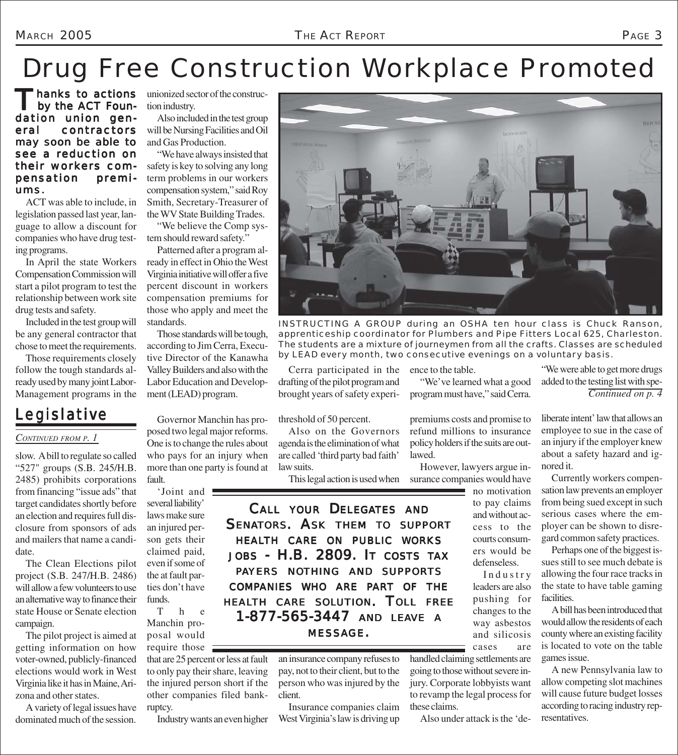# Drug Free Construction Workplace Promoted

Thanks to actions<br>by the ACT Foundation union general contractors may soon be able to see a reduction on their workers compensation premiums.

ACT was able to include, in legislation passed last year, language to allow a discount for companies who have drug testing programs.

In April the state Workers Compensation Commission will start a pilot program to test the relationship between work site drug tests and safety.

Included in the test group will be any general contractor that chose to meet the requirements.

Those requirements closely follow the tough standards already used by many joint Labor-Management programs in the

## *Legislative*

#### *CONTINUED FROM P. 1*

slow. A bill to regulate so called "527" groups (S.B. 245/H.B. 2485) prohibits corporations from financing "issue ads" that target candidates shortly before an election and requires full disclosure from sponsors of ads and mailers that name a candidate.

The Clean Elections pilot project (S.B. 247/H.B. 2486) will allow a few volunteers to use an alternative way to finance their state House or Senate election campaign.

The pilot project is aimed at getting information on how voter-owned, publicly-financed elections would work in West Virginia like it has in Maine, Arizona and other states.

A variety of legal issues have dominated much of the session.

hanks to actions unionized sector of the construction industry.

> Also included in the test group will be Nursing Facilities and Oil and Gas Production.

> "We have always insisted that safety is key to solving any long term problems in our workers compensation system," said Roy Smith, Secretary-Treasurer of the WV State Building Trades.

"We believe the Comp system should reward safety."

Patterned after a program already in effect in Ohio the West Virginia initiative will offer a five percent discount in workers compensation premiums for those who apply and meet the standards.

Those standards will be tough, according to Jim Cerra, Executive Director of the Kanawha Valley Builders and also with the Labor Education and Development (LEAD) program.

Governor Manchin has proposed two legal major reforms. One is to change the rules about who pays for an injury when more than one party is found at fault.

'Joint and several liability' laws make sure an injured person gets their claimed paid, even if some of the at fault parties don't have funds.

T h e Manchin proposal would require those  $\equiv$ 

that are 25 percent or less at fault to only pay their share, leaving the injured person short if the other companies filed bankruptcy.

Industry wants an even higher

*INSTRUCTING A GROUP during an OSHA ten hour class is Chuck Ranson, apprenticeship coordinator for Plumbers and Pipe Fitters Local 625, Charleston. The students are a mixture of journeymen from all the crafts. Classes are scheduled by LEAD every month, two consecutive evenings on a voluntary basis.*

Cerra participated in the drafting of the pilot program and brought years of safety experi-

#### threshold of 50 percent.

Also on the Governors agenda is the elimination of what are called 'third party bad faith' law suits.

*CALL YOUR DELEGATES AND SENATORS. ASK THEM TO SUPPORT HEALTH CARE ON PUBLIC WORKS JOBS - H.B. 2809. I T COSTS TAX PAYERS NOTHING AND SUPPORTS COMPANIES WHO ARE PART OF THE HEALTH CARE SOLUTION. TOLL FREE 1-877-565-3447 1-877-565-3447 AND LEAVE <sup>A</sup>*

> an insurance company refuses to pay, not to their client, but to the person who was injured by the client.

Insurance companies claim West Virginia's law is driving up ence to the table.

"We've learned what a good program must have," said Cerra.

premiums costs and promise to refund millions to insurance policy holders if the suits are outlawed.

However, lawyers argue insurance companies would have

> no motivation to pay claims and without access to the courts consumers would be defenseless.

Industry leaders are also pushing for changes to the way asbestos and silicosis cases are

handled claiming settlements are going to those without severe injury. Corporate lobbyists want to revamp the legal process for these claims.

Also under attack is the 'de-

"We were able to get more drugs added to the testing list with spe-*Continued on p. 4*

liberate intent' law that allows an employee to sue in the case of an injury if the employer knew about a safety hazard and ignored it.

Currently workers compensation law prevents an employer from being sued except in such serious cases where the employer can be shown to disregard common safety practices.

Perhaps one of the biggest issues still to see much debate is allowing the four race tracks in the state to have table gaming facilities.

A bill has been introduced that would allow the residents of each county where an existing facility is located to vote on the table games issue.

A new Pennsylvania law to allow competing slot machines will cause future budget losses according to racing industry representatives.

This legal action is used when

*MESSAGE.*